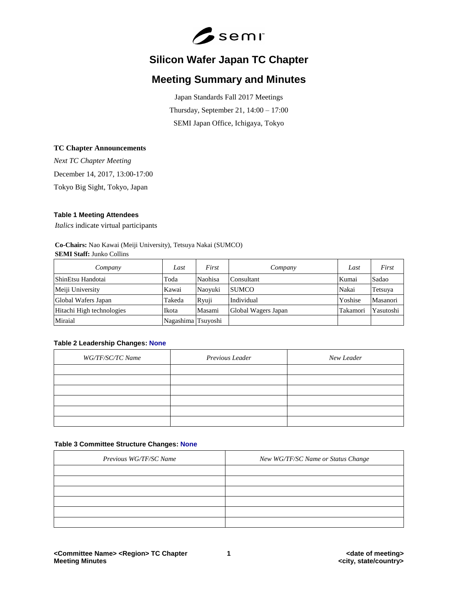

# **Silicon Wafer Japan TC Chapter**

## **Meeting Summary and Minutes**

Japan Standards Fall 2017 Meetings Thursday, September 21, 14:00 – 17:00 SEMI Japan Office, Ichigaya, Tokyo

## **TC Chapter Announcements**

*Next TC Chapter Meeting* December 14, 2017, 13:00-17:00 Tokyo Big Sight, Tokyo, Japan

## **Table 1 Meeting Attendees**

*Italics* indicate virtual participants

## **Co-Chairs:** Nao Kawai (Meiji University), Tetsuya Nakai (SUMCO) **SEMI Staff:** Junko Collins

| Company                   | Last               | First   | Company             | Last     | First     |
|---------------------------|--------------------|---------|---------------------|----------|-----------|
| ShinEtsu Handotai         | Toda               | Naohisa | Consultant          | Kumai    | Sadao     |
| Meiji University          | Kawai              | Naoyuki | <b>SUMCO</b>        | Nakai    | Tetsuya   |
| Global Wafers Japan       | Takeda             | Ryuji   | Individual          | Yoshise  | Masanori  |
| Hitachi High technologies | Ikota              | Masami  | Global Wagers Japan | Takamori | Yasutoshi |
| Miraial                   | Nagashima Tsuyoshi |         |                     |          |           |

## **Table 2 Leadership Changes: None**

| WG/TF/SC/TC Name | Previous Leader | New Leader |
|------------------|-----------------|------------|
|                  |                 |            |
|                  |                 |            |
|                  |                 |            |
|                  |                 |            |
|                  |                 |            |
|                  |                 |            |

#### **Table 3 Committee Structure Changes: None**

| Previous WG/TF/SC Name | New WG/TF/SC Name or Status Change |
|------------------------|------------------------------------|
|                        |                                    |
|                        |                                    |
|                        |                                    |
|                        |                                    |
|                        |                                    |
|                        |                                    |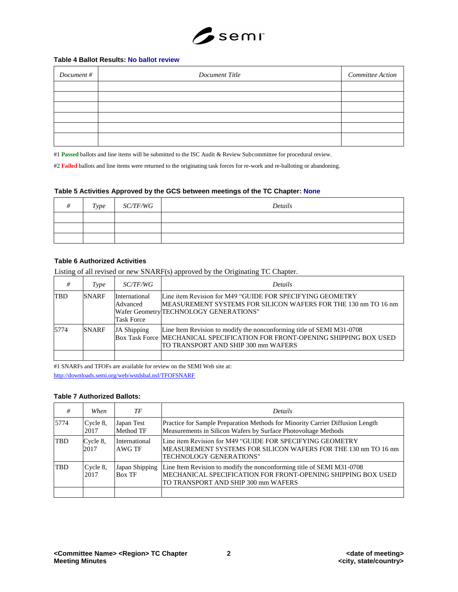

## **Table 4 Ballot Results: No ballot review**

| Document # | Document Title | Committee Action |
|------------|----------------|------------------|
|            |                |                  |
|            |                |                  |
|            |                |                  |
|            |                |                  |
|            |                |                  |
|            |                |                  |

#1 **Passed** ballots and line items will be submitted to the ISC Audit & Review Subcommittee for procedural review.

#2 **Failed** ballots and line items were returned to the originating task forces for re-work and re-balloting or abandoning.

#### **Table 5 Activities Approved by the GCS between meetings of the TC Chapter: None**

| # | Type | <i>SC/TF/WG</i> | Details |
|---|------|-----------------|---------|
|   |      |                 |         |
|   |      |                 |         |
|   |      |                 |         |

## **Table 6 Authorized Activities**

Listing of all revised or new SNARF(s) approved by the Originating TC Chapter.

| #    | Type         | <i>SC/TF/WG</i>                                | <i>Details</i>                                                                                                                                                                              |
|------|--------------|------------------------------------------------|---------------------------------------------------------------------------------------------------------------------------------------------------------------------------------------------|
| TBD  | <b>SNARF</b> | International<br>Advanced<br><b>Task Force</b> | Line item Revision for M49 "GUIDE FOR SPECIFYING GEOMETRY<br>MEASUREMENT SYSTEMS FOR SILICON WAFERS FOR THE 130 nm TO 16 nm<br>Wafer Geometry TECHNOLOGY GENERATIONS"                       |
| 5774 | SNARF        | JA Shipping                                    | Line Item Revision to modify the nonconforming title of SEMI M31-0708<br>Box Task Force MECHANICAL SPECIFICATION FOR FRONT-OPENING SHIPPING BOX USED<br>TO TRANSPORT AND SHIP 300 mm WAFERS |
|      |              |                                                |                                                                                                                                                                                             |

#1 SNARFs and TFOFs are available for review on the SEMI Web site at:

<http://downloads.semi.org/web/wstdsbal.nsf/TFOFSNARF>

## **Table 7 Authorized Ballots:**

| #    | When             | ТF                      | Details                                                                                                                                                                                     |
|------|------------------|-------------------------|---------------------------------------------------------------------------------------------------------------------------------------------------------------------------------------------|
| 5774 | Cycle 8,<br>2017 | Japan Test<br>Method TF | Practice for Sample Preparation Methods for Minority Carrier Diffusion Length<br>Measurements in Silicon Wafers by Surface Photovoltage Methods                                             |
| TBD  | Cycle 8,<br>2017 | International<br>AWG TF | Line item Revision for M49 "GUIDE FOR SPECIFYING GEOMETRY<br>MEASUREMENT SYSTEMS FOR SILICON WAFERS FOR THE 130 nm TO 16 nm<br>TECHNOLOGY GENERATIONS"                                      |
| TBD  | Cycle 8,<br>2017 | <b>Box TF</b>           | Japan Shipping Line Item Revision to modify the nonconforming title of SEMI M31-0708<br>MECHANICAL SPECIFICATION FOR FRONT-OPENING SHIPPING BOX USED<br>TO TRANSPORT AND SHIP 300 mm WAFERS |
|      |                  |                         |                                                                                                                                                                                             |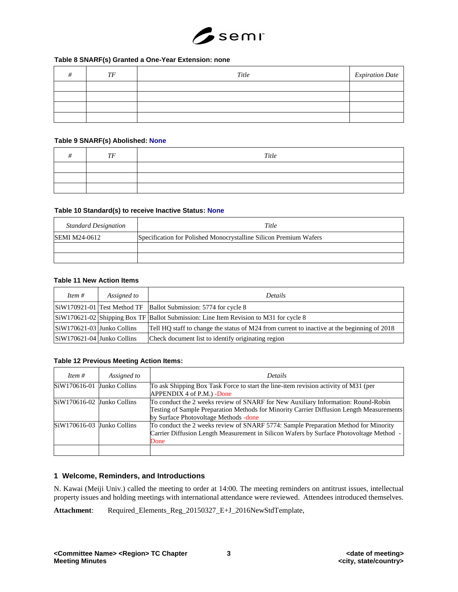

## **Table 8 SNARF(s) Granted a One-Year Extension: none**

| TF | Title | <b>Expiration Date</b> |
|----|-------|------------------------|
|    |       |                        |
|    |       |                        |
|    |       |                        |
|    |       |                        |

#### **Table 9 SNARF(s) Abolished: None**

| TF | Title |
|----|-------|
|    |       |
|    |       |
|    |       |

## **Table 10 Standard(s) to receive Inactive Status: None**

| <b>Standard Designation</b> | Title                                                             |
|-----------------------------|-------------------------------------------------------------------|
| <b>SEMI M24-0612</b>        | Specification for Polished Monocrystalline Silicon Premium Wafers |
|                             |                                                                   |
|                             |                                                                   |

## **Table 11 New Action Items**

| Item $#$                   | Assigned to | <b>Details</b>                                                                              |
|----------------------------|-------------|---------------------------------------------------------------------------------------------|
|                            |             | SiW170921-01 Test Method TF Ballot Submission: 5774 for cycle 8                             |
|                            |             | SiW170621-02 Shipping Box TF Ballot Submission: Line Item Revision to M31 for cycle 8       |
| SiW170621-03 Junko Collins |             | Tell HQ staff to change the status of M24 from current to inactive at the beginning of 2018 |
| SiW170621-04 Junko Collins |             | Check document list to identify originating region                                          |

## **Table 12 Previous Meeting Action Items:**

| Item $#$                     | Assigned to | <b>Details</b>                                                                                                                                                                                                          |
|------------------------------|-------------|-------------------------------------------------------------------------------------------------------------------------------------------------------------------------------------------------------------------------|
| $SiW170616-01$ Junko Collins |             | To ask Shipping Box Task Force to start the line-item revision activity of M31 (per<br>APPENDIX 4 of P.M.) - Done                                                                                                       |
| $SiW170616-02$ Junko Collins |             | To conduct the 2 weeks review of SNARF for New Auxiliary Information: Round-Robin<br>Testing of Sample Preparation Methods for Minority Carrier Diffusion Length Measurements<br>by Surface Photovoltage Methods - done |
| $SiW170616-03$ Junko Collins |             | To conduct the 2 weeks review of SNARF 5774: Sample Preparation Method for Minority<br>Carrier Diffusion Length Measurement in Silicon Wafers by Surface Photovoltage Method -<br>Done                                  |
|                              |             |                                                                                                                                                                                                                         |

## **1 Welcome, Reminders, and Introductions**

N. Kawai (Meiji Univ.) called the meeting to order at 14:00. The meeting reminders on antitrust issues, intellectual property issues and holding meetings with international attendance were reviewed. Attendees introduced themselves.

Attachment: Required\_Elements\_Reg\_20150327\_E+J\_2016NewStdTemplate,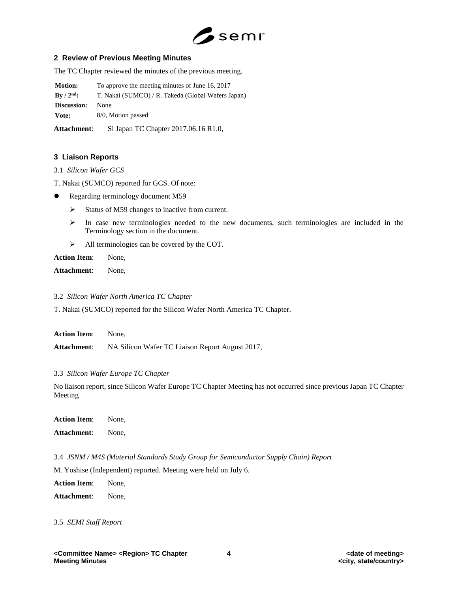

## **2 Review of Previous Meeting Minutes**

The TC Chapter reviewed the minutes of the previous meeting.

**Motion:** To approve the meeting minutes of June 16, 2017

**By / 2nd:** T. Nakai (SUMCO) / R. Takeda (Global Wafers Japan)

**Discussion:** None

**Vote:** 8/0, Motion passed

**Attachment**: Si Japan TC Chapter 2017.06.16 R1.0,

## **3 Liaison Reports**

- 3.1 *Silicon Wafer GCS*
- T. Nakai (SUMCO) reported for GCS. Of note:
- Regarding terminology document M59
	- $\triangleright$  Status of M59 changes to inactive from current.
	- $\triangleright$  In case new terminologies needed to the new documents, such terminologies are included in the Terminology section in the document.
	- All terminologies can be covered by the COT.

**Action Item**: None,

**Attachment**: None,

3.2 *Silicon Wafer North America TC Chapter*

T. Nakai (SUMCO) reported for the Silicon Wafer North America TC Chapter.

| Action Item: | None.                                           |
|--------------|-------------------------------------------------|
| Attachment:  | NA Silicon Wafer TC Liaison Report August 2017, |

3.3 *Silicon Wafer Europe TC Chapter*

No liaison report, since Silicon Wafer Europe TC Chapter Meeting has not occurred since previous Japan TC Chapter Meeting

**Action Item**: None, **Attachment**: None,

3.4 *JSNM / M4S (Material Standards Study Group for Semiconductor Supply Chain) Report*

M. Yoshise (Independent) reported. Meeting were held on July 6.

**Action Item**: None,

**Attachment**: None,

3.5 *SEMI Staff Report*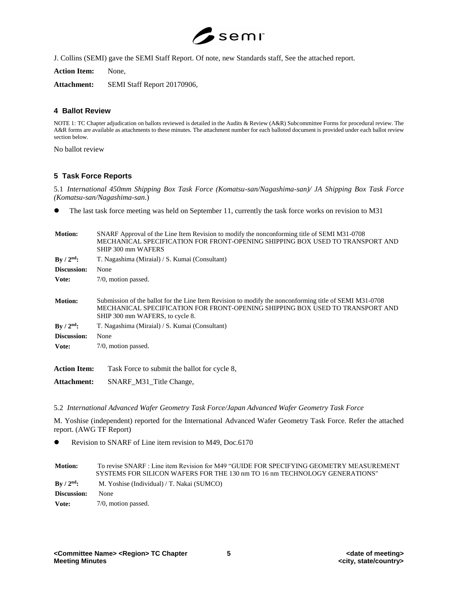

J. Collins (SEMI) gave the SEMI Staff Report. Of note, new Standards staff, See the attached report.

**Action Item:** None,

**Attachment:** SEMI Staff Report 20170906,

## **4 Ballot Review**

NOTE 1: TC Chapter adjudication on ballots reviewed is detailed in the Audits & Review (A&R) Subcommittee Forms for procedural review. The A&R forms are available as attachments to these minutes. The attachment number for each balloted document is provided under each ballot review section below.

No ballot review

## **5 Task Force Reports**

5.1 *International 450mm Shipping Box Task Force (Komatsu-san/Nagashima-san)/ JA Shipping Box Task Force (Komatsu-san/Nagashima-san*.)

The last task force meeting was held on September 11, currently the task force works on revision to M31

| Motion:                         | SNARF Approval of the Line Item Revision to modify the nonconforming title of SEMI M31-0708<br>MECHANICAL SPECIFICATION FOR FRONT-OPENING SHIPPING BOX USED TO TRANSPORT AND<br>SHIP 300 mm WAFERS                         |
|---------------------------------|----------------------------------------------------------------------------------------------------------------------------------------------------------------------------------------------------------------------------|
| $By / 2nd$ :                    | T. Nagashima (Miraial) / S. Kumai (Consultant)                                                                                                                                                                             |
| Discussion:                     | None                                                                                                                                                                                                                       |
| Vote:                           | 7/0, motion passed.                                                                                                                                                                                                        |
| <b>Motion:</b>                  | Submission of the ballot for the Line Item Revision to modify the nonconforming title of SEMI M31-0708<br>MECHANICAL SPECIFICATION FOR FRONT-OPENING SHIPPING BOX USED TO TRANSPORT AND<br>SHIP 300 mm WAFERS, to cycle 8. |
| $\mathrm{Bv}/2^{\mathrm{nd}}$ : | T. Nagashima (Miraial) / S. Kumai (Consultant)                                                                                                                                                                             |
| Discussion:                     | None                                                                                                                                                                                                                       |
| Vote:                           | 7/0, motion passed.                                                                                                                                                                                                        |
| <b>Action Item:</b>             | Task Force to submit the ballot for cycle 8,                                                                                                                                                                               |

**Attachment:** SNARF\_M31\_Title Change,

5.2 *International Advanced Wafer Geometry Task Force/Japan Advanced Wafer Geometry Task Force*

M. Yoshise (independent) reported for the International Advanced Wafer Geometry Task Force. Refer the attached report. (AWG TF Report)

Revision to SNARF of Line item revision to M49, Doc.6170

| <b>Motion:</b>           | To revise SNARF : Line item Revision for M49 "GUIDE FOR SPECIFYING GEOMETRY MEASUREMENT<br>SYSTEMS FOR SILICON WAFERS FOR THE 130 nm TO 16 nm TECHNOLOGY GENERATIONS" |
|--------------------------|-----------------------------------------------------------------------------------------------------------------------------------------------------------------------|
| $\rm\,By\,/\,2^{nd}\rm:$ | M. Yoshise (Individual) / T. Nakai (SUMCO)                                                                                                                            |
| Discussion:              | None                                                                                                                                                                  |
| Vote:                    | 7/0, motion passed.                                                                                                                                                   |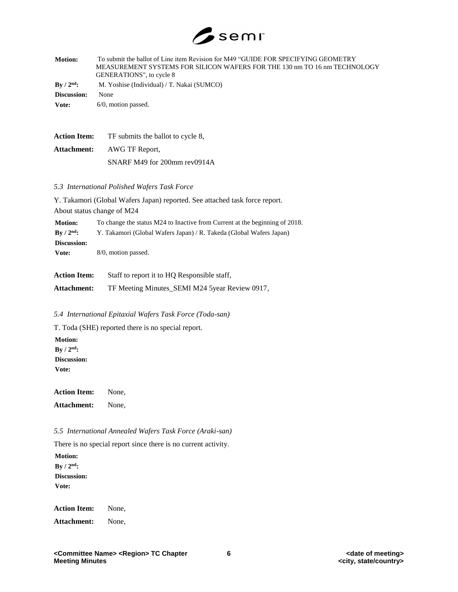

| <b>Motion:</b>                  | To submit the ballot of Line item Revision for M49 "GUIDE FOR SPECIFYING GEOMETRY<br>MEASUREMENT SYSTEMS FOR SILICON WAFERS FOR THE 130 nm TO 16 nm TECHNOLOGY<br>GENERATIONS", to cycle 8 |
|---------------------------------|--------------------------------------------------------------------------------------------------------------------------------------------------------------------------------------------|
| $\rm\,By\,$ / $\rm\,2^{nd}\rm:$ | M. Yoshise (Individual) / T. Nakai (SUMCO)                                                                                                                                                 |
| Discussion:                     | None                                                                                                                                                                                       |
| Vote:                           | $6/0$ , motion passed.                                                                                                                                                                     |
|                                 |                                                                                                                                                                                            |
|                                 |                                                                                                                                                                                            |

| <b>Action Item:</b> | TF submits the ballot to cycle 8. |
|---------------------|-----------------------------------|
| Attachment:         | AWG TF Report,                    |
|                     | SNARF M49 for 200mm rev0914A      |

#### *5.3 International Polished Wafers Task Force*

Y. Takamori (Global Wafers Japan) reported. See attached task force report. About status change of M24 **Motion:** To change the status M24 to Inactive from Current at the beginning of 2018. **By / 2nd:** Y. Takamori (Global Wafers Japan) / R. Takeda (Global Wafers Japan) **Discussion: Vote:** 8/0, motion passed.

**Action Item:** Staff to report it to HQ Responsible staff,

**Attachment:** TF Meeting Minutes\_SEMI M24 5year Review 0917,

*5.4 International Epitaxial Wafers Task Force (Toda-san)*

T. Toda (SHE) reported there is no special report. **Motion: By / 2nd:**

**Discussion: Vote:**

**Action Item:** None,

**Attachment:** None,

*5.5 International Annealed Wafers Task Force (Araki-san)*

There is no special report since there is no current activity.

**Motion: By / 2nd: Discussion: Vote:**

**Action Item:** None,

**Attachment:** None,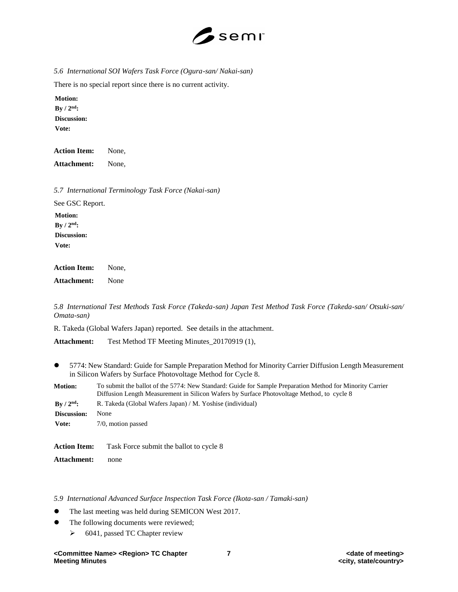

*5.6 International SOI Wafers Task Force (Ogura-san/ Nakai-san)*

There is no special report since there is no current activity.

**Motion:**  $\mathbf{By}$  /  $2^{\mathrm{nd}}$ : **Discussion: Vote:**

**Action Item:** None, **Attachment:** None,

*5.7 International Terminology Task Force (Nakai-san)*

See GSC Report. **Motion: By / 2nd: Discussion: Vote:**

**Action Item:** None, **Attachment:** None

*5.8 International Test Methods Task Force (Takeda-san) Japan Test Method Task Force (Takeda-san/ Otsuki-san/ Omata-san)*

R. Takeda (Global Wafers Japan) reported. See details in the attachment.

**Attachment:** Test Method TF Meeting Minutes\_20170919 (1),

 5774: New Standard: Guide for Sample Preparation Method for Minority Carrier Diffusion Length Measurement in Silicon Wafers by Surface Photovoltage Method for Cycle 8.

| <b>Motion:</b>      | To submit the ballot of the 5774: New Standard: Guide for Sample Preparation Method for Minority Carrier<br>Diffusion Length Measurement in Silicon Wafers by Surface Photovoltage Method, to cycle 8 |
|---------------------|-------------------------------------------------------------------------------------------------------------------------------------------------------------------------------------------------------|
| $\rm{By}/2^{nd}$ :  | R. Takeda (Global Wafers Japan) / M. Yoshise (individual)                                                                                                                                             |
| Discussion:         | None                                                                                                                                                                                                  |
| Vote:               | 7/0, motion passed                                                                                                                                                                                    |
| <b>Action Item:</b> | Task Force submit the ballot to cycle 8                                                                                                                                                               |

**Attachment:** none

*5.9 International Advanced Surface Inspection Task Force (Ikota-san / Tamaki-san)*

- The last meeting was held during SEMICON West 2017.
- The following documents were reviewed;
	- 6041, passed TC Chapter review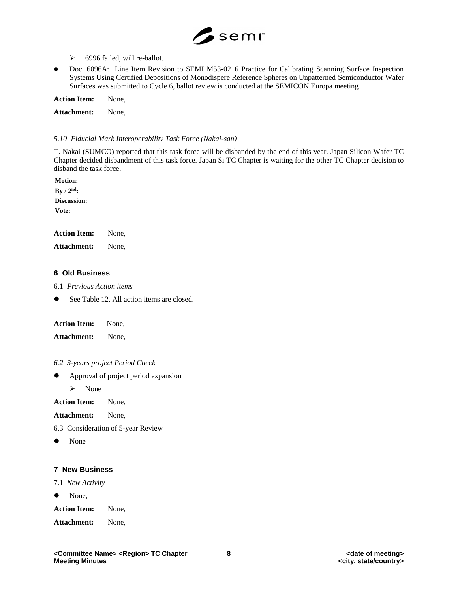

- 6996 failed, will re-ballot.
- Doc. 6096A: Line Item Revision to SEMI M53-0216 Practice for Calibrating Scanning Surface Inspection Systems Using Certified Depositions of Monodispere Reference Spheres on Unpatterned Semiconductor Wafer Surfaces was submitted to Cycle 6, ballot review is conducted at the SEMICON Europa meeting

**Action Item:** None,

**Attachment:** None,

## *5.10 Fiducial Mark Interoperability Task Force (Nakai-san)*

T. Nakai (SUMCO) reported that this task force will be disbanded by the end of this year. Japan Silicon Wafer TC Chapter decided disbandment of this task force. Japan Si TC Chapter is waiting for the other TC Chapter decision to disband the task force.

**Motion: By / 2nd: Discussion: Vote:**

| <b>Action Item:</b> | None. |
|---------------------|-------|
| Attachment:         | None, |

## **6 Old Business**

6.1 *Previous Action items*

● See Table 12. All action items are closed.

| <b>Action Item:</b> | None, |
|---------------------|-------|
|---------------------|-------|

**Attachment:** None,

- *6.2 3-years project Period Check*
- Approval of project period expansion

 $\triangleright$  None

**Action Item:** None,

**Attachment:** None,

6.3 Consideration of 5-year Review

• None

## **7 New Business**

7.1 *New Activity*

• None,

**Action Item:** None,

**Attachment:** None,